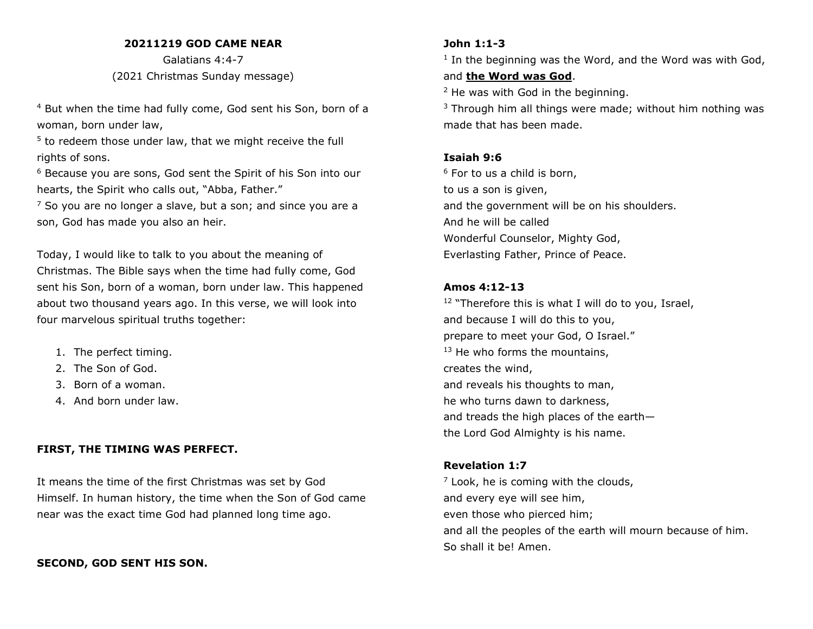#### **20211219 GOD CAME NEAR**

Galatians 4:4-7 (2021 Christmas Sunday message)

<sup>4</sup> But when the time had fully come, God sent his Son, born of a woman, born under law,

<sup>5</sup> to redeem those under law, that we might receive the full rights of sons.

<sup>6</sup> Because you are sons, God sent the Spirit of his Son into our hearts, the Spirit who calls out, "Abba, Father."

 $<sup>7</sup>$  So you are no longer a slave, but a son; and since you are a</sup> son, God has made you also an heir.

Today, I would like to talk to you about the meaning of Christmas. The Bible says when the time had fully come, God sent his Son, born of a woman, born under law. This happened about two thousand years ago. In this verse, we will look into four marvelous spiritual truths together:

- 1. The perfect timing.
- 2. The Son of God.
- 3. Born of a woman.
- 4. And born under law.

## **FIRST, THE TIMING WAS PERFECT.**

It means the time of the first Christmas was set by God Himself. In human history, the time when the Son of God came near was the exact time God had planned long time ago.

## **SECOND, GOD SENT HIS SON.**

#### **John 1:1-3**

<sup>1</sup> In the beginning was the Word, and the Word was with God, and **the Word was God**.

<sup>2</sup> He was with God in the beginning.

 $3$  Through him all things were made; without him nothing was made that has been made.

## **Isaiah 9:6**

 $6$  For to us a child is born, to us a son is given, and the government will be on his shoulders. And he will be called Wonderful Counselor, Mighty God, Everlasting Father, Prince of Peace.

## **Amos 4:12-13**

 $12$  "Therefore this is what I will do to you, Israel, and because I will do this to you, prepare to meet your God, O Israel." <sup>13</sup> He who forms the mountains, creates the wind, and reveals his thoughts to man, he who turns dawn to darkness, and treads the high places of the earth the Lord God Almighty is his name.

## **Revelation 1:7**

 $<sup>7</sup>$  Look, he is coming with the clouds,</sup> and every eye will see him, even those who pierced him; and all the peoples of the earth will mourn because of him. So shall it be! Amen.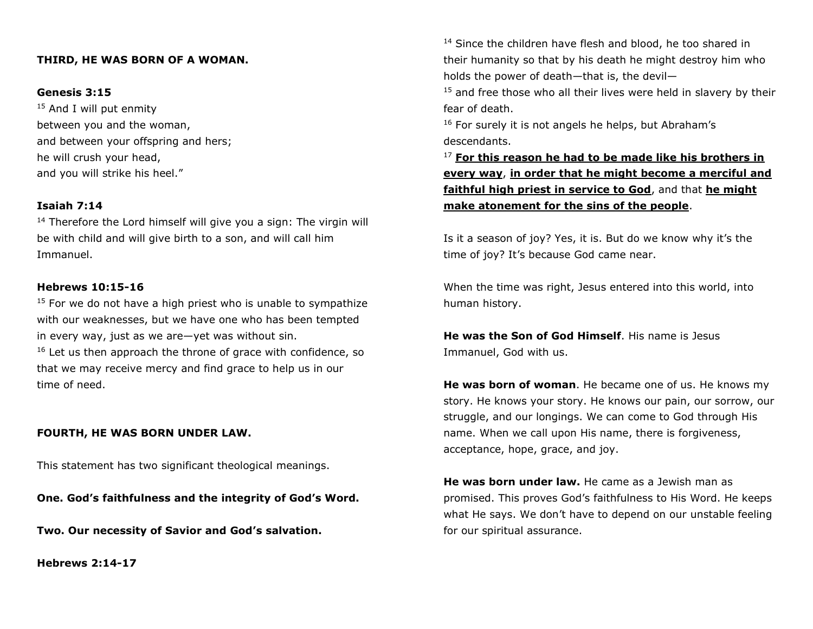## **THIRD, HE WAS BORN OF A WOMAN.**

#### **Genesis 3:15**

<sup>15</sup> And I will put enmity between you and the woman, and between your offspring and hers; he will crush your head, and you will strike his heel."

## **Isaiah 7:14**

 $14$  Therefore the Lord himself will give you a sign: The virgin will be with child and will give birth to a son, and will call him Immanuel.

#### **Hebrews 10:15-16**

 $15$  For we do not have a high priest who is unable to sympathize with our weaknesses, but we have one who has been tempted in every way, just as we are—yet was without sin.

 $16$  Let us then approach the throne of grace with confidence, so that we may receive mercy and find grace to help us in our time of need.

#### **FOURTH, HE WAS BORN UNDER LAW.**

This statement has two significant theological meanings.

**One. God's faithfulness and the integrity of God's Word.**

**Two. Our necessity of Savior and God's salvation.**

**Hebrews 2:14-17**

<sup>14</sup> Since the children have flesh and blood, he too shared in their humanity so that by his death he might destroy him who holds the power of death—that is, the devil—

 $15$  and free those who all their lives were held in slavery by their fear of death.

 $16$  For surely it is not angels he helps, but Abraham's descendants.

<sup>17</sup> **For this reason he had to be made like his brothers in every way**, **in order that he might become a merciful and faithful high priest in service to God**, and that **he might make atonement for the sins of the people**.

Is it a season of joy? Yes, it is. But do we know why it's the time of joy? It's because God came near.

When the time was right, Jesus entered into this world, into human history.

**He was the Son of God Himself**. His name is Jesus Immanuel, God with us.

**He was born of woman**. He became one of us. He knows my story. He knows your story. He knows our pain, our sorrow, our struggle, and our longings. We can come to God through His name. When we call upon His name, there is forgiveness, acceptance, hope, grace, and joy.

**He was born under law.** He came as a Jewish man as promised. This proves God's faithfulness to His Word. He keeps what He says. We don't have to depend on our unstable feeling for our spiritual assurance.